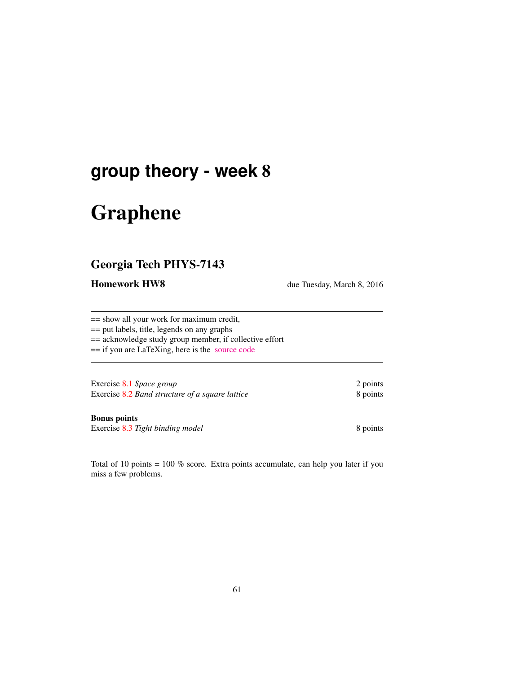## **group theory - week** 8

# Graphene

## Georgia Tech PHYS-7143

**Homework HW8** due Tuesday, March 8, 2016

== show all your work for maximum credit,

== put labels, title, legends on any graphs

== acknowledge study group member, if collective effort

== if you are LaTeXing, here is the [source code](http://birdtracks.eu/courses/PHYS-7143-16/exerWeek8.tex)

Exercise 8.1 *Space group* 2 points Exercise 8.2 *Band structure of a square lattice* 8 points

Bonus points

Exercise 8.3 Tight binding model 8 points

Total of 10 points = 100 % score. Extra points accumulate, can help you later if you miss a few problems.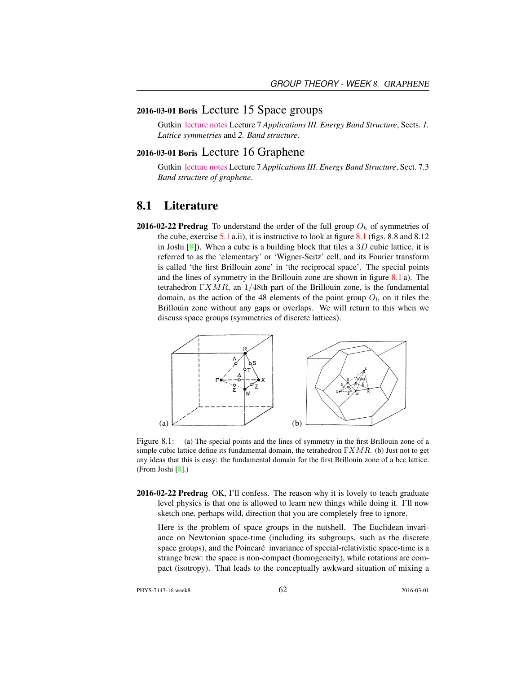#### 2016-03-01 Boris Lecture 15 Space groups

Gutkin [lecture notes](http://birdtracks.eu/courses/PHYS-7143-16/groups.pdf) Lecture 7 *Applications III. Energy Band Structure*, Sects. *1. Lattice symmetries* and *2. Band structure*.

#### 2016-03-01 Boris Lecture 16 Graphene

Gutkin [lecture notes](http://birdtracks.eu/courses/PHYS-7143-16/groups.pdf) Lecture 7 *Applications III. Energy Band Structure*, Sect. 7.3 *Band structure of graphene*.

#### 8.1 Literature

**2016-02-22 Predrag** To understand the order of the full group  $O_h$  of symmetries of the cube, exercise 5.1 a.ii), it is instructive to look at figure 8.1 (figs. 8.8 and 8.12 in Joshi  $[8]$ ). When a cube is a building block that tiles a  $3D$  cubic lattice, it is referred to as the 'elementary' or 'Wigner-Seitz' cell, and its Fourier transform is called 'the first Brillouin zone' in 'the reciprocal space'. The special points and the lines of symmetry in the Brillouin zone are shown in figure 8.1 a). The tetrahedron  $\Gamma XMR$ , an 1/48th part of the Brillouin zone, is the fundamental domain, as the action of the 48 elements of the point group  $O<sub>h</sub>$  on it tiles the Brillouin zone without any gaps or overlaps. We will return to this when we discuss space groups (symmetries of discrete lattices).



Figure 8.1: (a) The special points and the lines of symmetry in the first Brillouin zone of a simple cubic lattice define its fundamental domain, the tetrahedron  $\Gamma XMR$ . (b) Just not to get any ideas that this is easy: the fundamental domain for the first Brillouin zone of a bcc lattice. (From Joshi [8].)

2016-02-22 Predrag OK, I'll confess. The reason why it is lovely to teach graduate level physics is that one is allowed to learn new things while doing it. I'll now sketch one, perhaps wild, direction that you are completely free to ignore.

Here is the problem of space groups in the nutshell. The Euclidean invariance on Newtonian space-time (including its subgroups, such as the discrete space groups), and the Poincaré invariance of special-relativistic space-time is a strange brew: the space is non-compact (homogeneity), while rotations are compact (isotropy). That leads to the conceptually awkward situation of mixing a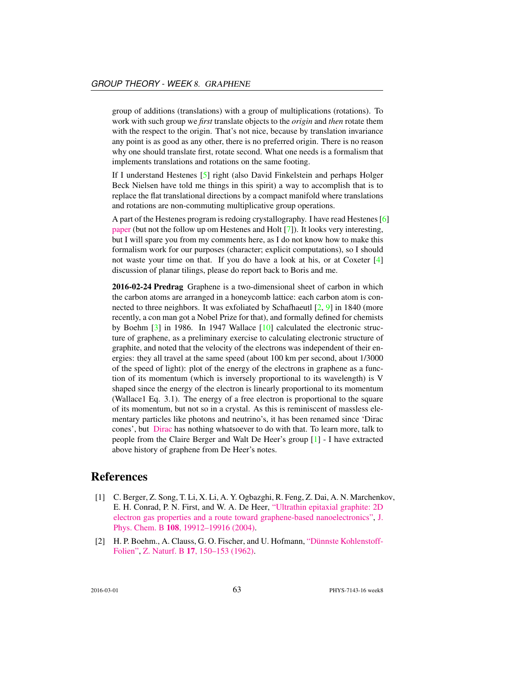group of additions (translations) with a group of multiplications (rotations). To work with such group we *first* translate objects to the *origin* and *then* rotate them with the respect to the origin. That's not nice, because by translation invariance any point is as good as any other, there is no preferred origin. There is no reason why one should translate first, rotate second. What one needs is a formalism that implements translations and rotations on the same footing.

If I understand Hestenes [5] right (also David Finkelstein and perhaps Holger Beck Nielsen have told me things in this spirit) a way to accomplish that is to replace the flat translational directions by a compact manifold where translations and rotations are non-commuting multiplicative group operations.

A part of the Hestenes program is redoing crystallography. I have read Hestenes [6] [paper](http://geocalc.clas.asu.edu/pdf/crystalsymmetry.pdf) (but not the follow up om Hestenes and Holt [7]). It looks very interesting, but I will spare you from my comments here, as I do not know how to make this formalism work for our purposes (character; explicit computations), so I should not waste your time on that. If you do have a look at his, or at Coxeter [4] discussion of planar tilings, please do report back to Boris and me.

2016-02-24 Predrag Graphene is a two-dimensional sheet of carbon in which the carbon atoms are arranged in a honeycomb lattice: each carbon atom is connected to three neighbors. It was exfoliated by Schafhaeutl [2, 9] in 1840 (more recently, a con man got a Nobel Prize for that), and formally defined for chemists by Boehm [3] in 1986. In 1947 Wallace [10] calculated the electronic structure of graphene, as a preliminary exercise to calculating electronic structure of graphite, and noted that the velocity of the electrons was independent of their energies: they all travel at the same speed (about 100 km per second, about 1/3000 of the speed of light): plot of the energy of the electrons in graphene as a function of its momentum (which is inversely proportional to its wavelength) is V shaped since the energy of the electron is linearly proportional to its momentum (Wallace1 Eq. 3.1). The energy of a free electron is proportional to the square of its momentum, but not so in a crystal. As this is reminiscent of massless elementary particles like photons and neutrino's, it has been renamed since 'Dirac cones', but [Dirac](https://youtu.be/AJDDceOmwmI) has nothing whatsoever to do with that. To learn more, talk to people from the Claire Berger and Walt De Heer's group [1] - I have extracted above history of graphene from De Heer's notes.

### References

- [1] C. Berger, Z. Song, T. Li, X. Li, A. Y. Ogbazghi, R. Feng, Z. Dai, A. N. Marchenkov, E. H. Conrad, P. N. First, and W. A. De Heer, ["Ultrathin epitaxial graphite: 2D](http://dx.doi.org/10.1021/jp040650f) [electron gas properties and a route toward graphene-based nanoelectronics",](http://dx.doi.org/10.1021/jp040650f) [J.](http://dx.doi.org/10.1021/jp040650f) Phys. Chem. B 108[, 19912–19916 \(2004\).](http://dx.doi.org/10.1021/jp040650f)
- [2] H. P. Boehm., A. Clauss, G. O. Fischer, and U. Hofmann, ["Dünnste Kohlenstoff-](http://dx.doi.org/10.1515/znb-1962-0302)[Folien",](http://dx.doi.org/10.1515/znb-1962-0302) Z. Naturf. B 17[, 150–153 \(1962\).](http://dx.doi.org/10.1515/znb-1962-0302)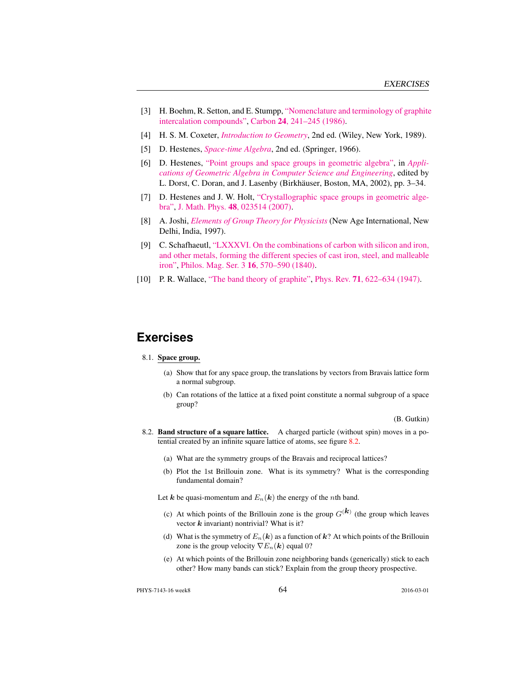- [3] H. Boehm, R. Setton, and E. Stumpp, ["Nomenclature and terminology of graphite](http://dx.doi.org/10.1016/0008-6223(86)90126-0) [intercalation compounds",](http://dx.doi.org/10.1016/0008-6223(86)90126-0) Carbon 24[, 241–245 \(1986\).](http://dx.doi.org/10.1016/0008-6223(86)90126-0)
- [4] H. S. M. Coxeter, *[Introduction to Geometry](http://books.google.com/books?vid=ISBN978-0-471-50458-0)*, 2nd ed. (Wiley, New York, 1989).
- [5] D. Hestenes, *[Space-time Algebra](http://dx.doi.org/10.1007/978-3-319-18413-5)*, 2nd ed. (Springer, 1966).
- [6] D. Hestenes, ["Point groups and space groups in geometric algebra",](http://dx.doi.org/10.1007/978-1-4612-0089-5_1) in *[Appli](http://dx.doi.org/10.1007/978-1-4612-0089-5_1)[cations of Geometric Algebra in Computer Science and Engineering](http://dx.doi.org/10.1007/978-1-4612-0089-5_1)*, edited by L. Dorst, C. Doran, and J. Lasenby (Birkhäuser, Boston, MA, 2002), pp. 3–34.
- [7] D. Hestenes and J. W. Holt, ["Crystallographic space groups in geometric alge](http://dx.doi.org/10.1063/1.2426416)[bra",](http://dx.doi.org/10.1063/1.2426416) J. Math. Phys. 48[, 023514 \(2007\).](http://dx.doi.org/10.1063/1.2426416)
- [8] A. Joshi, *[Elements of Group Theory for Physicists](http://books.google.com/books?vid=ISBN9788122409758)* (New Age International, New Delhi, India, 1997).
- [9] C. Schafhaeutl, ["LXXXVI. On the combinations of carbon with silicon and iron,](http://dx.doi.org/10.1080/14786444008650094) [and other metals, forming the different species of cast iron, steel, and malleable](http://dx.doi.org/10.1080/14786444008650094) [iron",](http://dx.doi.org/10.1080/14786444008650094) [Philos. Mag. Ser. 3](http://dx.doi.org/10.1080/14786444008650094) 16, 570–590 (1840).
- [10] P. R. Wallace, ["The band theory of graphite",](http://dx.doi.org/10.1103/PhysRev.71.622) Phys. Rev. **71**[, 622–634 \(1947\).](http://dx.doi.org/10.1103/PhysRev.71.622)

### **Exercises**

#### 8.1. Space group.

- (a) Show that for any space group, the translations by vectors from Bravais lattice form a normal subgroup.
- (b) Can rotations of the lattice at a fixed point constitute a normal subgroup of a space group?

(B. Gutkin)

- 8.2. Band structure of a square lattice. A charged particle (without spin) moves in a potential created by an infinite square lattice of atoms, see figure 8.2.
	- (a) What are the symmetry groups of the Bravais and reciprocal lattices?
	- (b) Plot the 1st Brillouin zone. What is its symmetry? What is the corresponding fundamental domain?

Let k be quasi-momentum and  $E_n(k)$  the energy of the *n*th band.

- (c) At which points of the Brillouin zone is the group  $G^{(k)}$  (the group which leaves vector  $k$  invariant) nontrivial? What is it?
- (d) What is the symmetry of  $E_n(k)$  as a function of  $k$ ? At which points of the Brillouin zone is the group velocity  $\nabla E_n(\mathbf{k})$  equal 0?
- (e) At which points of the Brillouin zone neighboring bands (generically) stick to each other? How many bands can stick? Explain from the group theory prospective.